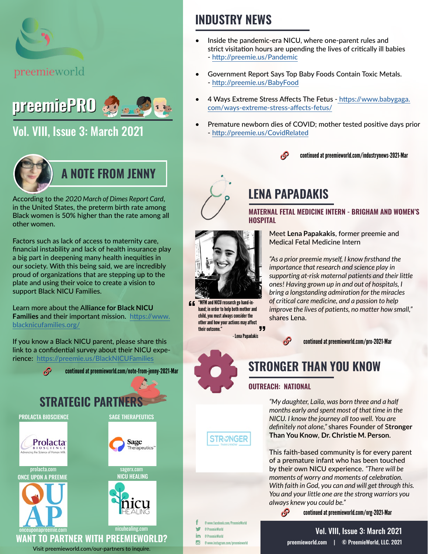

# preemiePRO

# [Vol. VIII, Issue 3: March 2021](https://preemieworld.com/preemie-pro-digital-issues/)



According to the *2020 March of Dimes Report Card*, in the United States, the preterm birth rate among Black women is 50% higher than the rate among all other women.

Factors such as lack of access to maternity care, financial instability and lack of health insurance play a big part in deepening many health inequities in our society. With this being said, we are incredibly proud of organizations that are stepping up to the plate and using their voice to create a vision to support Black NICU Families.

Learn more about the A**lliance for Black NICU Families** and their important mission. [https://www.](https://www.blacknicufamilies.org/ ) [blacknicufamilies.org/](https://www.blacknicufamilies.org/ )

If you know a Black NICU parent, please share this link to a confidential survey about their NICU experience: https://preemie.us/BlackNICUFamilies



# **INDUSTRY NEWS**

- Inside the pandemic-era NICU, where one-parent rules and strict visitation hours are upending the lives of critically ill babies - <http://preemie.us/Pandemic>
- Government Report Says Top Baby Foods Contain Toxic Metals. - <http://preemie.us/BabyFood>
- 4 Ways Extreme Stress Affects The Fetus -[https://www.babygaga.](https://www.babygaga.com/ways-extreme-stress-affects-fetus/) [com/ways-extreme-stress-affects-fetus/](https://www.babygaga.com/ways-extreme-stress-affects-fetus/)
- Premature newborn dies of COVID; mother tested positive days prior - <http://preemie.us/CovidRelated>

#### $\Omega$ continued at [preemieworld.com/industrynews-2021-](https://preemieworld.com/industrynews-2021-Mar)Mar





"MFM and NICU research go hand-in- $66$ hand; in order to help both mother and child, you must always consider the other and how your actions may affect  $11$ their outcome." - Lena Papadakis

# **LENA PAPADAKIS**

**MATERNAL FETAL MEDICINE INTERN - BRIGHAM AND WOMEN'S HOSPITAL**

> Meet **Lena Papakakis**, former preemie and Medical Fetal Medicine Intern

*"As a prior preemie myself, I know firsthand the importance that research and science play in supporting at-risk maternal patients and their little ones! Having grown up in and out of hospitals, I bring a longstanding admiration for the miracles of critical care medicine, and a passion to help improve the lives of patients, no matter how small,"* shares Lena.



continued at [preemieworld.com/pro-2021-](https://preemieworld.com/pro-2021-Mar)Mar

# **STRONGER THAN YOU KNOW**

#### **OUTREACH: NATIONAL**

 $\mathcal{S}$ 

*"My daughter, Laila, was born three and a half months early and spent most of that time in the NICU. I know the journey all too well. You are definitely not alone,"* shares Founder of S**tronger Than You Know**, **Dr. Christie M. Person**.

This faith-based community is for every parent of a premature infant who has been touched by their own NICU experience. *"There will be moments of worry and moments of celebration. With faith in God, you can and will get through this. You and your little one are the strong warriors you always knew you could be."*

continued at [preemieworld.com/org-2021-](https://preemieworld.com/org-2021-Mar)Mar

@ www.facebook.com/PreemieWorld @ PreemieWorld in @ PreemieWorld

**STR-2NGER** 

@ www.instagram.com/preemieworld

[preemieworld.com](https://preemieworld.com) | © PreemieWorld, LLC. 2021 Vol. VIII, Issue 3: March 2021